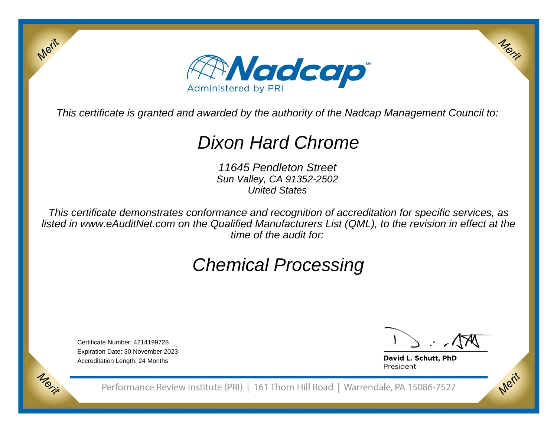

This certificate is granted and awarded by the authority of the Nadcap Management Council to:

# Dixon Hard Chrome

11645 Pendleton Street Sun Valley, CA 91352-2502United States

This certificate demonstrates conformance and recognition of accreditation for specific services, as listed in www.eAuditNet.com on the Qualified Manufacturers List (QML), to the revision in effect at thetime of the audit for:

# Chemical Processing

Certificate Number: 4214199728 Expiration Date: 30 November 2023Accreditation Length: 24 Months

Merit

Merit

Merit

Merit

David L. Schutt, PhD President

Performance Review Institute (PRI) | 161 Thorn Hill Road | Warrendale, PA 15086-7527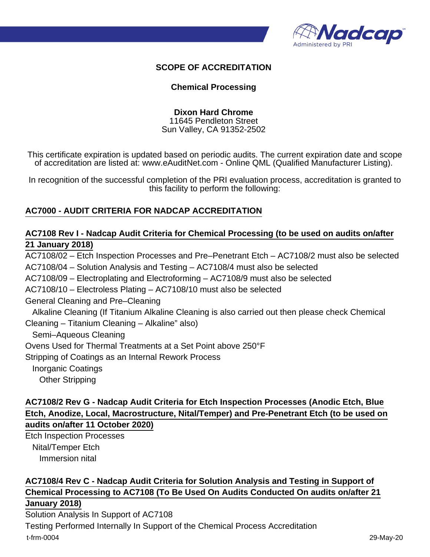

#### **SCOPE OF ACCREDITATION**

#### **Chemical Processing**

**Dixon Hard Chrome**

11645 Pendleton Street Sun Valley, CA 91352-2502

This certificate expiration is updated based on periodic audits. The current expiration date and scope of accreditation are listed at: www.eAuditNet.com - Online QML (Qualified Manufacturer Listing).

In recognition of the successful completion of the PRI evaluation process, accreditation is granted to this facility to perform the following:

#### **AC7000 - AUDIT CRITERIA FOR NADCAP ACCREDITATION**

#### **AC7108 Rev I - Nadcap Audit Criteria for Chemical Processing (to be used on audits on/after 21 January 2018)**

AC7108/02 – Etch Inspection Processes and Pre–Penetrant Etch – AC7108/2 must also be selected AC7108/04 – Solution Analysis and Testing – AC7108/4 must also be selected AC7108/09 – Electroplating and Electroforming – AC7108/9 must also be selected AC7108/10 – Electroless Plating – AC7108/10 must also be selected General Cleaning and Pre–Cleaning Alkaline Cleaning (If Titanium Alkaline Cleaning is also carried out then please check Chemical Cleaning – Titanium Cleaning – Alkaline" also) Semi–Aqueous Cleaning Ovens Used for Thermal Treatments at a Set Point above 250°F Stripping of Coatings as an Internal Rework Process Inorganic Coatings Other Stripping

#### **AC7108/2 Rev G - Nadcap Audit Criteria for Etch Inspection Processes (Anodic Etch, Blue Etch, Anodize, Local, Macrostructure, Nital/Temper) and Pre-Penetrant Etch (to be used on audits on/after 11 October 2020)**

Etch Inspection Processes Nital/Temper Etch Immersion nital

## **AC7108/4 Rev C - Nadcap Audit Criteria for Solution Analysis and Testing in Support of Chemical Processing to AC7108 (To Be Used On Audits Conducted On audits on/after 21**

**January 2018)** Solution Analysis In Support of AC7108

Testing Performed Internally In Support of the Chemical Process Accreditation t-frm-0004 29-May-20